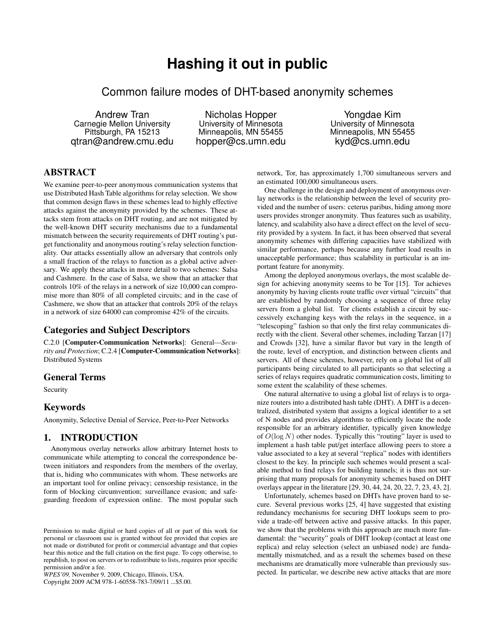# **Hashing it out in public**

Common failure modes of DHT-based anonymity schemes

Andrew Tran Carnegie Mellon University Pittsburgh, PA 15213 qtran@andrew.cmu.edu

Nicholas Hopper University of Minnesota Minneapolis, MN 55455 hopper@cs.umn.edu

Yongdae Kim University of Minnesota Minneapolis, MN 55455 kyd@cs.umn.edu

# ABSTRACT

We examine peer-to-peer anonymous communication systems that use Distributed Hash Table algorithms for relay selection. We show that common design flaws in these schemes lead to highly effective attacks against the anonymity provided by the schemes. These attacks stem from attacks on DHT routing, and are not mitigated by the well-known DHT security mechanisms due to a fundamental mismatch between the security requirements of DHT routing's putget functionality and anonymous routing's relay selection functionality. Our attacks essentially allow an adversary that controls only a small fraction of the relays to function as a global active adversary. We apply these attacks in more detail to two schemes: Salsa and Cashmere. In the case of Salsa, we show that an attacker that controls 10% of the relays in a network of size 10,000 can compromise more than 80% of all completed circuits; and in the case of Cashmere, we show that an attacker that controls 20% of the relays in a network of size 64000 can compromise 42% of the circuits.

# Categories and Subject Descriptors

C.2.0 [Computer-Communication Networks]: General—*Security and Protection*; C.2.4 [Computer-Communication Networks]: Distributed Systems

### General Terms

Security

### Keywords

Anonymity, Selective Denial of Service, Peer-to-Peer Networks

## 1. INTRODUCTION

Anonymous overlay networks allow arbitrary Internet hosts to communicate while attempting to conceal the correspondence between initiators and responders from the members of the overlay, that is, hiding who communicates with whom. These networks are an important tool for online privacy; censorship resistance, in the form of blocking circumvention; surveillance evasion; and safeguarding freedom of expression online. The most popular such

Copyright 2009 ACM 978-1-60558-783-7/09/11 ...\$5.00.

network, Tor, has approximately 1,700 simultaneous servers and an estimated 100,000 simultaneous users.

One challenge in the design and deployment of anonymous overlay networks is the relationship between the level of security provided and the number of users: ceterus paribus, hiding among more users provides stronger anonymity. Thus features such as usability, latency, and scalability also have a direct effect on the level of security provided by a system. In fact, it has been observed that several anonymity schemes with differing capacities have stabilized with similar performance, perhaps because any further load results in unacceptable performance; thus scalability in particular is an important feature for anonymity.

Among the deployed anonymous overlays, the most scalable design for achieving anonymity seems to be Tor [15]. Tor achieves anonymity by having clients route traffic over virtual "circuits" that are established by randomly choosing a sequence of three relay servers from a global list. Tor clients establish a circuit by successively exchanging keys with the relays in the sequence, in a "telescoping" fashion so that only the first relay communicates directly with the client. Several other schemes, including Tarzan [17] and Crowds [32], have a similar flavor but vary in the length of the route, level of encryption, and distinction between clients and servers. All of these schemes, however, rely on a global list of all participants being circulated to all participants so that selecting a series of relays requires quadratic communication costs, limiting to some extent the scalability of these schemes.

One natural alternative to using a global list of relays is to organize routers into a distributed hash table (DHT). A DHT is a decentralized, distributed system that assigns a logical identifier to a set of N nodes and provides algorithms to efficiently locate the node responsible for an arbitrary identifier, typically given knowledge of  $O(\log N)$  other nodes. Typically this "routing" layer is used to implement a hash table put/get interface allowing peers to store a value associated to a key at several "replica" nodes with identifiers closest to the key. In principle such schemes would present a scalable method to find relays for building tunnels; it is thus not surprising that many proposals for anonymity schemes based on DHT overlays appear in the literature [29, 30, 44, 24, 20, 22, 7, 23, 43, 2].

Unfortunately, schemes based on DHTs have proven hard to secure. Several previous works [25, 4] have suggested that existing redundancy mechanisms for securing DHT lookups seem to provide a trade-off between active and passive attacks. In this paper, we show that the problems with this approach are much more fundamental: the "security" goals of DHT lookup (contact at least one replica) and relay selection (select an unbiased node) are fundamentally mismatched, and as a result the schemes based on these mechanisms are dramatically more vulnerable than previously suspected. In particular, we describe new active attacks that are more

Permission to make digital or hard copies of all or part of this work for personal or classroom use is granted without fee provided that copies are not made or distributed for profit or commercial advantage and that copies bear this notice and the full citation on the first page. To copy otherwise, to republish, to post on servers or to redistribute to lists, requires prior specific permission and/or a fee.

*WPES'09,* November 9, 2009, Chicago, Illinois, USA.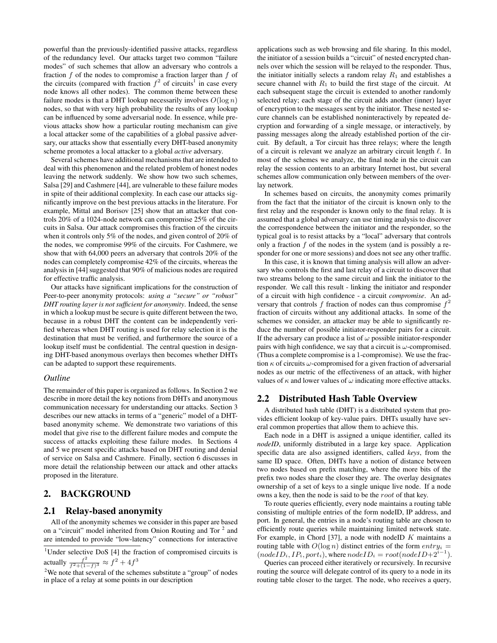powerful than the previously-identified passive attacks, regardless of the redundancy level. Our attacks target two common "failure modes" of such schemes that allow an adversary who controls a fraction  $f$  of the nodes to compromise a fraction larger than  $f$  of the circuits (compared with fraction  $f^2$  of circuits<sup>1</sup> in case every node knows all other nodes). The common theme between these failure modes is that a DHT lookup necessarily involves  $O(\log n)$ nodes, so that with very high probability the results of any lookup can be influenced by some adversarial node. In essence, while previous attacks show how a particular routing mechanism can give a local attacker some of the capabilities of a global passive adversary, our attacks show that essentially every DHT-based anonymity scheme promotes a local attacker to a global *active* adversary.

Several schemes have additional mechanisms that are intended to deal with this phenomenon and the related problem of honest nodes leaving the network suddenly. We show how two such schemes, Salsa [29] and Cashmere [44], are vulnerable to these failure modes in spite of their additional complexity. In each case our attacks significantly improve on the best previous attacks in the literature. For example, Mittal and Borisov [25] show that an attacker that controls 20% of a 1024-node network can compromise 25% of the circuits in Salsa. Our attack compromises this fraction of the circuits when it controls only 5% of the nodes, and given control of 20% of the nodes, we compromise 99% of the circuits. For Cashmere, we show that with 64,000 peers an adversary that controls 20% of the nodes can completely compromise 42% of the circuits, whereas the analysis in [44] suggested that 90% of malicious nodes are required for effective traffic analysis.

Our attacks have significant implications for the construction of Peer-to-peer anonymity protocols: *using a "secure" or "robust" DHT routing layer is not sufficient for anonymity*. Indeed, the sense in which a lookup must be secure is quite different between the two, because in a robust DHT the content can be independently verified whereas when DHT routing is used for relay selection it is the destination that must be verified, and furthermore the source of a lookup itself must be confidential. The central question in designing DHT-based anonymous overlays then becomes whether DHTs can be adapted to support these requirements.

#### *Outline*

The remainder of this paper is organized as follows. In Section 2 we describe in more detail the key notions from DHTs and anonymous communication necessary for understanding our attacks. Section 3 describes our new attacks in terms of a "generic" model of a DHTbased anonymity scheme. We demonstrate two variations of this model that give rise to the different failure modes and compute the success of attacks exploiting these failure modes. In Sections 4 and 5 we present specific attacks based on DHT routing and denial of service on Salsa and Cashmere. Finally, section 6 discusses in more detail the relationship between our attack and other attacks proposed in the literature.

# 2. BACKGROUND

#### 2.1 Relay-based anonymity

All of the anonymity schemes we consider in this paper are based on a "circuit" model inherited from Onion Routing and Tor<sup>2</sup> and are intended to provide "low-latency" connections for interactive applications such as web browsing and file sharing. In this model, the initiator of a session builds a "circuit" of nested encrypted channels over which the session will be relayed to the responder. Thus, the initiator initially selects a random relay  $R_1$  and establishes a secure channel with  $R_1$  to build the first stage of the circuit. At each subsequent stage the circuit is extended to another randomly selected relay; each stage of the circuit adds another (inner) layer of encryption to the messages sent by the initiator. These nested secure channels can be established noninteractively by repeated decryption and forwarding of a single message, or interactively, by passing messages along the already established portion of the circuit. By default, a Tor circuit has three relays; where the length of a circuit is relevant we analyze an arbitrary circuit length  $\ell$ . In most of the schemes we analyze, the final node in the circuit can relay the session contents to an arbitrary Internet host, but several schemes allow communication only between members of the overlay network.

In schemes based on circuits, the anonymity comes primarily from the fact that the initiator of the circuit is known only to the first relay and the responder is known only to the final relay. It is assumed that a global adversary can use timing analysis to discover the correspondence between the initiator and the responder, so the typical goal is to resist attacks by a "local" adversary that controls only a fraction  $f$  of the nodes in the system (and is possibly a responder for one or more sessions) and does not see any other traffic.

In this case, it is known that timing analysis will allow an adversary who controls the first and last relay of a circuit to discover that two streams belong to the same circuit and link the initiator to the responder. We call this result - linking the initiator and responder of a circuit with high confidence - a circuit *compromise*. An adversary that controls  $f$  fraction of nodes can thus compromise  $f^2$ fraction of circuits without any additional attacks. In some of the schemes we consider, an attacker may be able to significantly reduce the number of possible initiator-responder pairs for a circuit. If the adversary can produce a list of  $\omega$  possible initiator-responder pairs with high confidence, we say that a circuit is  $\omega$ -compromised. (Thus a complete compromise is a 1-compromise). We use the fraction  $\kappa$  of circuits  $\omega$ -compromised for a given fraction of adversarial nodes as our metric of the effectiveness of an attack, with higher values of  $\kappa$  and lower values of  $\omega$  indicating more effective attacks.

#### 2.2 Distributed Hash Table Overview

A distributed hash table (DHT) is a distributed system that provides efficient lookup of key-value pairs. DHTs usually have several common properties that allow them to achieve this.

Each node in a DHT is assigned a unique identifier, called its *nodeID*, uniformly distributed in a large key space. Application specific data are also assigned identifiers, called *keys*, from the same ID space. Often, DHTs have a notion of distance between two nodes based on prefix matching, where the more bits of the prefix two nodes share the closer they are. The overlay designates ownership of a set of keys to a single unique live node. If a node owns a key, then the node is said to be the root of that key.

To route queries efficiently, every node maintains a routing table consisting of multiple entries of the form nodeID, IP address, and port. In general, the entries in a node's routing table are chosen to efficiently route queries while maintaining limited network state. For example, in Chord [37], a node with nodeID  $K$  maintains a routing table with  $O(\log n)$  distinct entries of the form  $entry_i =$  $(nodeID_i, IP_i, port_i)$ , where  $nodeID_i = root(nodeID + 2^{i-1})$ .

Queries can proceed either iteratively or recursively. In recursive routing the source will delegate control of its query to a node in its routing table closer to the target. The node, who receives a query,

<sup>&</sup>lt;sup>1</sup>Under selective DoS  $[4]$  the fraction of compromised circuits is actually  $\frac{f^2}{f^2+(1)}$  $\frac{f^2}{f^2+(1-f)^3} \approx f^2+4f^3$ 

<sup>2</sup>We note that several of the schemes substitute a "group" of nodes in place of a relay at some points in our description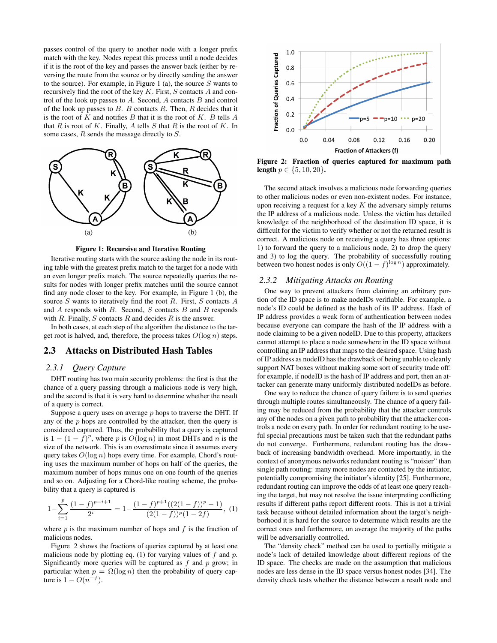passes control of the query to another node with a longer prefix match with the key. Nodes repeat this process until a node decides if it is the root of the key and passes the answer back (either by reversing the route from the source or by directly sending the answer to the source). For example, in Figure 1 (a), the source  $S$  wants to recursively find the root of the key  $K$ . First,  $S$  contacts  $A$  and control of the look up passes to  $A$ . Second,  $A$  contacts  $B$  and control of the look up passes to  $B$ .  $B$  contacts  $R$ . Then,  $R$  decides that it is the root of  $K$  and notifies  $B$  that it is the root of  $K$ .  $B$  tells  $A$ that R is root of K. Finally, A tells S that R is the root of K. In some cases, R sends the message directly to S.



Figure 1: Recursive and Iterative Routing

Iterative routing starts with the source asking the node in its routing table with the greatest prefix match to the target for a node with an even longer prefix match. The source repeatedly queries the results for nodes with longer prefix matches until the source cannot find any node closer to the key. For example, in Figure 1 (b), the source  $S$  wants to iteratively find the root  $R$ . First,  $S$  contacts  $A$ and  $A$  responds with  $B$ . Second,  $S$  contacts  $B$  and  $B$  responds with R. Finally, S contacts R and decides R is the answer.

In both cases, at each step of the algorithm the distance to the target root is halved, and, therefore, the process takes  $O(\log n)$  steps.

## 2.3 Attacks on Distributed Hash Tables

#### *2.3.1 Query Capture*

DHT routing has two main security problems: the first is that the chance of a query passing through a malicious node is very high, and the second is that it is very hard to determine whether the result of a query is correct.

Suppose a query uses on average  $p$  hops to traverse the DHT. If any of the  $p$  hops are controlled by the attacker, then the query is considered captured. Thus, the probability that a query is captured is  $1 - (1 - f)^p$ , where p is  $O(\log n)$  in most DHTs and n is the size of the network. This is an overestimate since it assumes every query takes  $O(\log n)$  hops every time. For example, Chord's routing uses the maximum number of hops on half of the queries, the maximum number of hops minus one on one fourth of the queries and so on. Adjusting for a Chord-like routing scheme, the probability that a query is captured is

$$
1 - \sum_{i=1}^{p} \frac{(1-f)^{p-i+1}}{2^i} = 1 - \frac{(1-f)^{p+1}((2(1-f))^p - 1)}{(2(1-f))^p(1-2f)},
$$
(1)

where  $p$  is the maximum number of hops and  $f$  is the fraction of malicious nodes.

Figure 2 shows the fractions of queries captured by at least one malicious node by plotting eq. (1) for varying values of  $f$  and  $p$ . Significantly more queries will be captured as  $f$  and  $p$  grow; in particular when  $p = \Omega(\log n)$  then the probability of query capture is  $1 - O(n^{-f})$ .



Figure 2: Fraction of queries captured for maximum path length  $p \in \{5, 10, 20\}$ .

The second attack involves a malicious node forwarding queries to other malicious nodes or even non-existent nodes. For instance, upon receiving a request for a key  $K$  the adversary simply returns the IP address of a malicious node. Unless the victim has detailed knowledge of the neighborhood of the destination ID space, it is difficult for the victim to verify whether or not the returned result is correct. A malicious node on receiving a query has three options: 1) to forward the query to a malicious node, 2) to drop the query and 3) to log the query. The probability of successfully routing between two honest nodes is only  $O((1-f)^{\log n})$  approximately.

#### *2.3.2 Mitigating Attacks on Routing*

One way to prevent attackers from claiming an arbitrary portion of the ID space is to make nodeIDs verifiable. For example, a node's ID could be defined as the hash of its IP address. Hash of IP address provides a weak form of authentication between nodes because everyone can compare the hash of the IP address with a node claiming to be a given nodeID. Due to this property, attackers cannot attempt to place a node somewhere in the ID space without controlling an IP address that maps to the desired space. Using hash of IP address as nodeID has the drawback of being unable to cleanly support NAT boxes without making some sort of security trade off: for example, if nodeID is the hash of IP address and port, then an attacker can generate many uniformly distributed nodeIDs as before.

One way to reduce the chance of query failure is to send queries through multiple routes simultaneously. The chance of a query failing may be reduced from the probability that the attacker controls any of the nodes on a given path to probability that the attacker controls a node on every path. In order for redundant routing to be useful special precautions must be taken such that the redundant paths do not converge. Furthermore, redundant routing has the drawback of increasing bandwidth overhead. More importantly, in the context of anonymous networks redundant routing is "noisier" than single path routing: many more nodes are contacted by the initiator, potentially compromising the initiator's identity [25]. Furthermore, redundant routing can improve the odds of at least one query reaching the target, but may not resolve the issue interpreting conflicting results if different paths report different roots. This is not a trivial task because without detailed information about the target's neighborhood it is hard for the source to determine which results are the correct ones and furthermore, on average the majority of the paths will be adversarially controlled.

The "density check" method can be used to partially mitigate a node's lack of detailed knowledge about different regions of the ID space. The checks are made on the assumption that malicious nodes are less dense in the ID space versus honest nodes [34]. The density check tests whether the distance between a result node and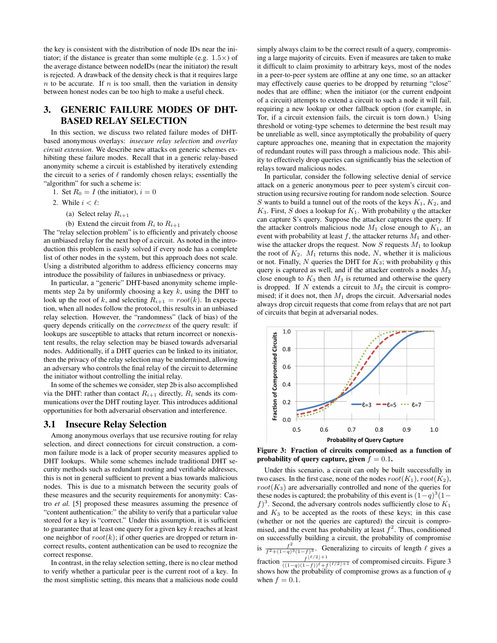the key is consistent with the distribution of node IDs near the initiator; if the distance is greater than some multiple (e.g.  $1.5 \times$ ) of the average distance between nodeIDs (near the initiator) the result is rejected. A drawback of the density check is that it requires large  $n$  to be accurate. If  $n$  is too small, then the variation in density between honest nodes can be too high to make a useful check.

# 3. GENERIC FAILURE MODES OF DHT-BASED RELAY SELECTION

In this section, we discuss two related failure modes of DHTbased anonymous overlays: *insecure relay selection* and *overlay circuit extension*. We describe new attacks on generic schemes exhibiting these failure modes. Recall that in a generic relay-based anonymity scheme a circuit is established by iteratively extending the circuit to a series of  $\ell$  randomly chosen relays; essentially the "algorithm" for such a scheme is:

- 1. Set  $R_0 = I$  (the initiator),  $i = 0$
- 2. While  $i < \ell$ :
	- (a) Select relay  $R_{i+1}$
	- (b) Extend the circuit from  $R_i$  to  $R_{i+1}$

The "relay selection problem" is to efficiently and privately choose an unbiased relay for the next hop of a circuit. As noted in the introduction this problem is easily solved if every node has a complete list of other nodes in the system, but this approach does not scale. Using a distributed algorithm to address efficiency concerns may introduce the possibility of failures in unbiasedness or privacy.

In particular, a "generic" DHT-based anonymity scheme implements step 2a by uniformly choosing a key  $k$ , using the DHT to look up the root of k, and selecting  $R_{i+1} = root(k)$ . In expectation, when all nodes follow the protocol, this results in an unbiased relay selection. However, the "randomness" (lack of bias) of the query depends critically on the *correctness* of the query result: if lookups are susceptible to attacks that return incorrect or nonexistent results, the relay selection may be biased towards adversarial nodes. Additionally, if a DHT queries can be linked to its initiator, then the privacy of the relay selection may be undermined, allowing an adversary who controls the final relay of the circuit to determine the initiator without controlling the initial relay.

In some of the schemes we consider, step 2b is also accomplished via the DHT: rather than contact  $R_{i+1}$  directly,  $R_i$  sends its communications over the DHT routing layer. This introduces additional opportunities for both adversarial observation and interference.

#### 3.1 Insecure Relay Selection

Among anonymous overlays that use recursive routing for relay selection, and direct connections for circuit construction, a common failure mode is a lack of proper security measures applied to DHT lookups. While some schemes include traditional DHT security methods such as redundant routing and verifiable addresses, this is not in general sufficient to prevent a bias towards malicious nodes. This is due to a mismatch between the security goals of these measures and the security requirements for anonymity: Castro *et al.* [5] proposed these measures assuming the presence of "content authentication:" the ability to verify that a particular value stored for a key is "correct." Under this assumption, it is sufficient to guarantee that at least one query for a given key  $k$  reaches at least one neighbor of  $root(k)$ ; if other queries are dropped or return incorrect results, content authentication can be used to recognize the correct response.

In contrast, in the relay selection setting, there is no clear method to verify whether a particular peer is the current root of a key. In the most simplistic setting, this means that a malicious node could

simply always claim to be the correct result of a query, compromising a large majority of circuits. Even if measures are taken to make it difficult to claim proximity to arbitrary keys, most of the nodes in a peer-to-peer system are offline at any one time, so an attacker may effectively cause queries to be dropped by returning "close" nodes that are offline; when the initiator (or the current endpoint of a circuit) attempts to extend a circuit to such a node it will fail, requiring a new lookup or other fallback option (for example, in Tor, if a circuit extension fails, the circuit is torn down.) Using threshold or voting-type schemes to determine the best result may be unreliable as well, since asymptotically the probability of query capture approaches one, meaning that in expectation the majority of redundant routes will pass through a malicious node. This ability to effectively drop queries can significantly bias the selection of relays toward malicious nodes.

In particular, consider the following selective denial of service attack on a generic anonymous peer to peer system's circuit construction using recursive routing for random node selection. Source S wants to build a tunnel out of the roots of the keys  $K_1, K_2$ , and  $K_3$ . First, S does a lookup for  $K_1$ . With probability q the attacker can capture S's query. Suppose the attacker captures the query. If the attacker controls malicious node  $M_1$  close enough to  $K_1$ , an event with probability at least  $f$ , the attacker returns  $M_1$  and otherwise the attacker drops the request. Now  $S$  requests  $M_1$  to lookup the root of  $K_2$ .  $M_1$  returns this node, N, whether it is malicious or not. Finally,  $N$  queries the DHT for  $K_3$ ; with probability  $q$  this query is captured as well, and if the attacker controls a nodes  $M_3$ close enough to  $K_3$  then  $M_3$  is returned and otherwise the query is dropped. If N extends a circuit to  $M_3$  the circuit is compromised; if it does not, then  $M_1$  drops the circuit. Adversarial nodes always drop circuit requests that come from relays that are not part of circuits that begin at adversarial nodes.



Figure 3: Fraction of circuits compromised as a function of probability of query capture, given  $f = 0.1$ .

Under this scenario, a circuit can only be built successfully in two cases. In the first case, none of the nodes  $root(K_1)$ ,  $root(K_2)$ ,  $root(K_3)$  are adversarially controlled and none of the queries for these nodes is captured; the probability of this event is  $(1-q)^3(1-q)$  $f$ <sup>3</sup>. Second, the adversary controls nodes sufficiently close to  $K_1$ and  $K_3$  to be accepted as the roots of these keys; in this case (whether or not the queries are captured) the circuit is compromised, and the event has probability at least  $f^2$ . Thus, conditioned on successfully building a circuit, the probability of compromise is  $\frac{f^2}{f^2 + (1-a)^2}$  $\frac{f^2}{f^2 + (1-q)^3(1-f)^3}$ . Generalizing to circuits of length  $\ell$  gives a fraction  $\frac{f^{[t/2]+1}}{((1-q)(1-f))^{\ell}+f^{[\ell/2]+1}}$  of compromised circuits. Figure 3  $\int f(\ell/2]+1$ shows how the probability of compromise grows as a function of  $q$ when  $f = 0.1$ .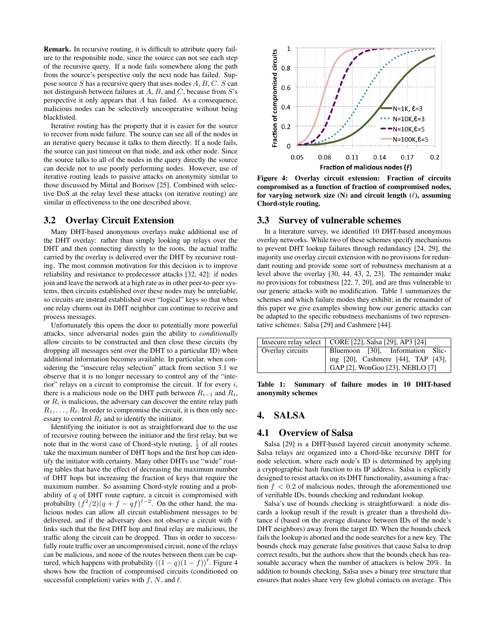Remark. In recursive routing, it is difficult to attribute query failure to the responsible node, since the source can not see each step of the recursive query. If a node fails somewhere along the path from the source's perspective only the next node has failed. Suppose source  $S$  has a recursive query that uses nodes  $A, B, C, S$  can not distinguish between failures at  $A$ ,  $B$ , and  $C$ , because from  $S$ 's perspective it only appears that A has failed. As a consequence, malicious nodes can be selectively uncooperative without being blacklisted.

Iterative routing has the property that it is easier for the source to recover from node failure. The source can see all of the nodes in an iterative query because it talks to them directly. If a node fails, the source can just timeout on that node, and ask other node. Since the source talks to all of the nodes in the query directly the source can decide not to use poorly performing nodes. However, use of iterative routing leads to passive attacks on anonymity similar to those discussed by Mittal and Borisov [25]. Combined with selective DoS at the relay level these attacks (on iterative routing) are similar in effectiveness to the one described above.

## 3.2 Overlay Circuit Extension

Many DHT-based anonymous overlays make additional use of the DHT overlay: rather than simply looking up relays over the DHT and then connecting directly to the roots, the actual traffic carried by the overlay is delivered over the DHT by recursive routing. The most common motivation for this decision is to improve reliability and resistance to predecessor attacks [32, 42]: if nodes join and leave the network at a high rate as in other peer-to-peer systems, then circuits established over these nodes may be unreliable, so circuits are instead established over "logical" keys so that when one relay churns out its DHT neighbor can continue to receive and process messages.

Unfortunately this opens the door to potentially more powerful attacks, since adversarial nodes gain the ability to *conditionally* allow circuits to be constructed and then close these circuits (by dropping all messages sent over the DHT to a particular ID) when additional information becomes available. In particular, when considering the "insecure relay selection" attack from section 3.1 we observe that it is no longer necessary to control any of the "interior" relays on a circuit to compromise the circuit. If for every  $i$ , there is a malicious node on the DHT path between  $R_{i-1}$  and  $R_i$ , or  $R_i$  is malicious, the adversary can discover the entire relay path  $R_1, \ldots, R_\ell$ . In order to compromise the circuit, it is then only necessary to control  $R_\ell$  and to identify the initiator.

Identifying the initiator is not as straightforward due to the use of recursive routing between the initiator and the first relay, but we note that in the worst case of Chord-style routing,  $\frac{1}{2}$  of all routes take the maximum number of DHT hops and the first hop can identify the initiator with certainty. Many other DHTs use "wide" routing tables that have the effect of decreasing the maximum number of DHT hops but increasing the fraction of keys that require the maximum number. So assuming Chord-style routing and a probability of  $q$  of DHT route capture, a circuit is compromised with probability  $(f^2/2)(q + f - qf)^{\ell-2}$ . On the other hand, the malicious nodes can allow all circuit establishment messages to be delivered, and if the adversary does not observe a circuit with  $\ell$ links such that the first DHT hop and final relay are malicious, the traffic along the circuit can be dropped. Thus in order to successfully route traffic over an uncompromised circuit, none of the relays can be malicious, and none of the routes between them can be captured, which happens with probability  $((1 - q)(1 - f))^{\ell}$ . Figure 4 shows how the fraction of compromised circuits (conditioned on successful completion) varies with  $f$ , N, and  $\ell$ .



Figure 4: Overlay circuit extension: Fraction of circuits compromised as a function of fraction of compromised nodes, for varying network size  $(N)$  and circuit length  $(\ell)$ , assuming Chord-style routing.

#### 3.3 Survey of vulnerable schemes

In a literature survey, we identified 10 DHT-based anonymous overlay networks. While two of these schemes specify mechanisms to prevent DHT lookup failures through redundancy [24, 29], the majority use overlay circuit extension with no provisions for redundant routing and provide some sort of robustness mechanism at a level above the overlay [30, 44, 43, 2, 23]. The remainder make no provisions for robustness [22, 7, 20], and are thus vulnerable to our generic attacks with no modification. Table 1 summarizes the schemes and which failure modes they exhibit; in the remainder of this paper we give examples showing how our generic attacks can be adapted to the specific robustness mechanisms of two representative schemes: Salsa [29] and Cashmere [44].

|                  | Insecure relay select   CORE [22], Salsa [29], AP3 [24] |
|------------------|---------------------------------------------------------|
| Overlay circuits | Bluemoon [30], Information Slic-                        |
|                  | ing [20], Cashmere [44], TAP [43],                      |
|                  | GAP [2], WonGoo [23], NEBLO [7]                         |

Table 1: Summary of failure modes in 10 DHT-based anonymity schemes

# 4. SALSA

## 4.1 Overview of Salsa

Salsa [29] is a DHT-based layered circuit anonymity scheme. Salsa relays are organized into a Chord-like recursive DHT for node selection, where each node's ID is determined by applying a cryptographic hash function to its IP address. Salsa is explicitly designed to resist attacks on its DHT functionality, assuming a fraction  $f < 0.2$  of malicious nodes, through the aforementioned use of verifiable IDs, bounds checking and redundant lookup.

Salsa's use of bounds checking is straightforward: a node discards a lookup result if the result is greater than a threshold distance d (based on the average distance between IDs of the node's DHT neighbors) away from the target ID. When the bounds check fails the lookup is aborted and the node searches for a new key. The bounds check may generate false positives that cause Salsa to drop correct results, but the authors show that the bounds check has reasonable accuracy when the number of attackers is below 20%. In addition to bounds checking, Salsa uses a binary tree structure that ensures that nodes share very few global contacts on average. This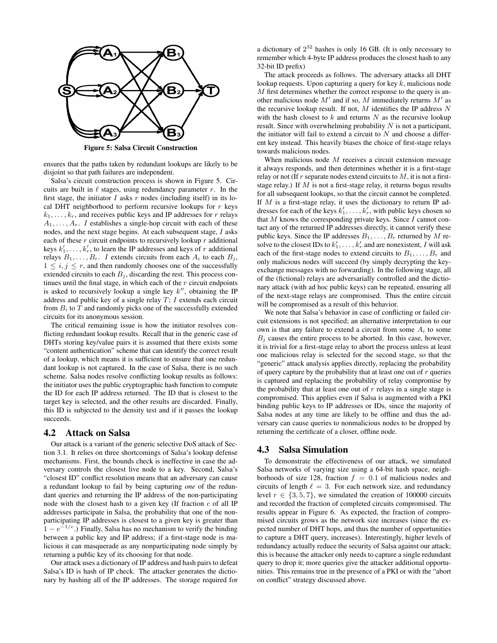

Figure 5: Salsa Circuit Construction

ensures that the paths taken by redundant lookups are likely to be disjoint so that path failures are independent.

Salsa's circuit construction process is shown in Figure 5. Circuits are built in  $\ell$  stages, using redundancy parameter r. In the first stage, the initiator  $I$  asks  $r$  nodes (including itself) in its local DHT neighborhood to perform recursive lookups for  $r$  keys  $k_1, \ldots, k_r$ , and receives public keys and IP addresses for r relays  $A_1, \ldots, A_r$ . I establishes a single-hop circuit with each of these nodes, and the next stage begins. At each subsequent stage, I asks each of these  $r$  circuit endpoints to recursively lookup  $r$  additional keys  $k'_1, \ldots, k'_r$ , to learn the IP addresses and keys of r additional relays  $B_1, \ldots, B_r$ . *I* extends circuits from each  $A_i$  to each  $B_i$ ,  $1 \leq i, j \leq r$ , and then randomly chooses one of the successfully extended circuits to each  $B_i$ , discarding the rest. This process continues until the final stage, in which each of the  $r$  circuit endpoints is asked to recursively lookup a single key  $k''$ , obtaining the IP address and public key of a single relay  $T$ ; I extends each circuit from  $B_i$  to  $T$  and randomly picks one of the successfully extended circuits for its anonymous session.

The critical remaining issue is how the initiator resolves conflicting redundant lookup results. Recall that in the generic case of DHTs storing key/value pairs it is assumed that there exists some "content authentication" scheme that can identify the correct result of a lookup, which means it is sufficient to ensure that one redundant lookup is not captured. In the case of Salsa, there is no such scheme. Salsa nodes resolve conflicting lookup results as follows: the initiator uses the public cryptographic hash function to compute the ID for each IP address returned. The ID that is closest to the target key is selected, and the other results are discarded. Finally, this ID is subjected to the density test and if it passes the lookup succeeds.

## 4.2 Attack on Salsa

Our attack is a variant of the generic selective DoS attack of Section 3.1. It relies on three shortcomings of Salsa's lookup defense mechanisms. First, the bounds check is ineffective in case the adversary controls the closest live node to a key. Second, Salsa's "closest ID" conflict resolution means that an adversary can cause a redundant lookup to fail by being capturing *one* of the redundant queries and returning the IP address of the non-participating node with the closest hash to a given key (If fraction  $c$  of all IP addresses participate in Salsa, the probability that one of the nonparticipating IP addresses is closest to a given key is greater than  $1 - e^{-1/c}$ .) Finally, Salsa has no mechanism to verify the binding between a public key and IP address; if a first-stage node is malicious it can masquerade as any nonparticipating node simply by returning a public key of its choosing for that node.

Our attack uses a dictionary of IP address and hash pairs to defeat Salsa's ID is hash of IP check. The attacker generates the dictionary by hashing all of the IP addresses. The storage required for

a dictionary of  $2^{32}$  hashes is only 16 GB. (It is only necessary to remember which 4-byte IP address produces the closest hash to any 32-bit ID prefix)

The attack proceeds as follows. The adversary attacks all DHT lookup requests. Upon capturing a query for key  $k$ , malicious node M first determines whether the correct response to the query is another malicious node  $M'$  and if so,  $M$  immediately returns  $M'$  as the recursive lookup result. If not,  $M$  identifies the IP address  $N$ with the hash closest to  $k$  and returns  $N$  as the recursive lookup result. Since with overwhelming probability  $N$  is not a participant, the initiator will fail to extend a circuit to  $N$  and choose a different key instead. This heavily biases the choice of first-stage relays towards malicious nodes.

When malicious node  $M$  receives a circuit extension message it always responds, and then determines whether it is a first-stage relay or not (If  $r$  separate nodes extend circuits to  $M$ , it is not a firststage relay.) If  $M$  is not a first-stage relay, it returns bogus results for all subsequent lookups, so that the circuit cannot be completed. If  $M$  is a first-stage relay, it uses the dictionary to return IP addresses for each of the keys  $k'_1, \ldots, k'_r$ , with public keys chosen so that  $M$  knows the corresponding private keys. Since  $I$  cannot contact any of the returned IP addresses directly, it cannot verify these public keys. Since the IP addresses  $B_1, \ldots, B_r$  returned by M resolve to the closest IDs to  $k'_1, \ldots, k'_r$  and are nonexistent, I will ask each of the first-stage nodes to extend circuits to  $B_1, \ldots, B_r$  and only malicious nodes will succeed (by simply decrypting the keyexchange messages with no forwarding). In the following stage, all of the (fictional) relays are adversarially controlled and the dictionary attack (with ad hoc public keys) can be repeated, ensuring all of the next-stage relays are compromised. Thus the entire circuit will be compromised as a result of this behavior.

We note that Salsa's behavior in case of conflicting or failed circuit extensions is not specified; an alternative interpretation to our own is that any failure to extend a circuit from some  $A_i$  to some  $B_i$  causes the entire process to be aborted. In this case, however, it is trivial for a first-stage relay to abort the process unless at least one malicious relay is selected for the second stage, so that the "generic" attack analysis applies directly, replacing the probability of query capture by the probability that at least one out of  $r$  queries is captured and replacing the probability of relay compromise by the probability that at least one out of  $r$  relays in a single stage is compromised. This applies even if Salsa is augmented with a PKI binding public keys to IP addresses or IDs, since the majority of Salsa nodes at any time are likely to be offline and thus the adversary can cause queries to nonmalicious nodes to be dropped by returning the certificate of a closer, offline node.

#### 4.3 Salsa Simulation

To demonstrate the effectiveness of our attack, we simulated Salsa networks of varying size using a 64-bit hash space, neighborhoods of size 128, fraction  $f = 0.1$  of malicious nodes and circuits of length  $\ell = 3$ . For each network size, and redundancy level  $r \in \{3, 5, 7\}$ , we simulated the creation of 100000 circuits and recorded the fraction of completed circuits compromised. The results appear in Figure 6. As expected, the fraction of compromised circuits grows as the network size increases (since the expected number of DHT hops, and thus the number of opportunities to capture a DHT query, increases). Interestingly, higher levels of redundancy actually reduce the security of Salsa against our attack; this is because the attacker only needs to capture a single redundant query to drop it; more queries give the attacker additional opportunities. This remains true in the presence of a PKI or with the "abort on conflict" strategy discussed above.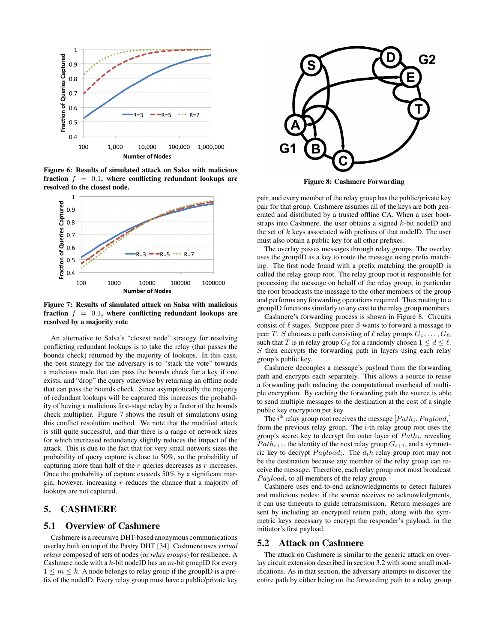

Figure 6: Results of simulated attack on Salsa with malicious fraction  $f = 0.1$ , where conflicting redundant lookups are resolved to the closest node.



Figure 7: Results of simulated attack on Salsa with malicious fraction  $f = 0.1$ , where conflicting redundant lookups are resolved by a majority vote

An alternative to Salsa's "closest node" strategy for resolving conflicting redundant lookups is to take the relay (that passes the bounds check) returned by the majority of lookups. In this case, the best strategy for the adversary is to "stack the vote" towards a malicious node that can pass the bounds check for a key if one exists, and "drop" the query otherwise by returning an offline node that can pass the bounds check. Since asymptotically the majority of redundant lookups will be captured this increases the probability of having a malicious first-stage relay by a factor of the bounds check multiplier. Figure 7 shows the result of simulations using this conflict resolution method. We note that the modified attack is still quite successful, and that there is a range of network sizes for which increased redundancy slightly reduces the impact of the attack. This is due to the fact that for very small network sizes the probability of query capture is close to 50%, so the probability of capturing more than half of the  $r$  queries decreases as  $r$  increases. Once the probability of capture exceeds 50% by a significant margin, however, increasing  $r$  reduces the chance that a majority of lookups are not captured.

# 5. CASHMERE

## 5.1 Overview of Cashmere

Cashmere is a recursive DHT-based anonymous communications overlay built on top of the Pastry DHT [34]. Cashmere uses *virtual relays* composed of sets of nodes (or *relay groups*) for resilience. A Cashmere node with a  $k$ -bit nodeID has an  $m$ -bit groupID for every  $1 \leq m \leq k$ . A node belongs to relay group if the groupID is a prefix of the nodeID. Every relay group must have a public/private key



Figure 8: Cashmere Forwarding

pair, and every member of the relay group has the public/private key pair for that group. Cashmere assumes all of the keys are both generated and distributed by a trusted offline CA. When a user bootstraps into Cashmere, the user obtains a signed k-bit nodeID and the set of  $k$  keys associated with prefixes of that nodeID. The user must also obtain a public key for all other prefixes.

The overlay passes messages through relay groups. The overlay uses the groupID as a key to route the message using prefix matching. The first node found with a prefix matching the groupID is called the relay group root. The relay group root is responsible for processing the message on behalf of the relay group; in particular the root broadcasts the message to the other members of the group and performs any forwarding operations required. Thus routing to a groupID functions similarly to any cast to the relay group members.

Cashmere's forwarding process is shown in Figure 8. Circuits consist of  $\ell$  stages. Suppose peer S wants to forward a message to peer T. S chooses a path consisting of  $\ell$  relay groups  $G_1, \ldots, G_\ell$ , such that T is in relay group  $G_d$  for a randomly chosen  $1 \leq d \leq \ell$ .  $S$  then encrypts the forwarding path in layers using each relay group's public key.

Cashmere decouples a message's payload from the forwarding path and encrypts each separately. This allows a source to reuse a forwarding path reducing the computational overhead of multiple encryption. By caching the forwarding path the source is able to send multiple messages to the destination at the cost of a single public key encryption per key.

The *i*<sup>th</sup> relay group root receives the message  $[Path_i, Payload_i]$ from the previous relay group. The i-th relay group root uses the group's secret key to decrypt the outer layer of  $Path_i$ , revealing  $Path_{i+1}$ , the identity of the next relay group  $G_{i+1}$ , and a symmetric key to decrypt  $Payload_i$ . The  $d<sub>t</sub>h$  relay group root may not be the destination because any member of the relay group can receive the message. Therefore, each relay group root must broadcast  $Pauload<sub>i</sub>$  to all members of the relay group.

Cashmere uses end-to-end acknowledgments to detect failures and malicious nodes: if the source receives no acknowledgments, it can use timeouts to guide retransmission. Return messages are sent by including an encrypted return path, along with the symmetric keys necessary to encrypt the responder's payload, in the initiator's first payload.

#### 5.2 Attack on Cashmere

The attack on Cashmere is similar to the generic attack on overlay circuit extension described in section 3.2 with some small modifications. As in that section, the adversary attempts to discover the entire path by either being on the forwarding path to a relay group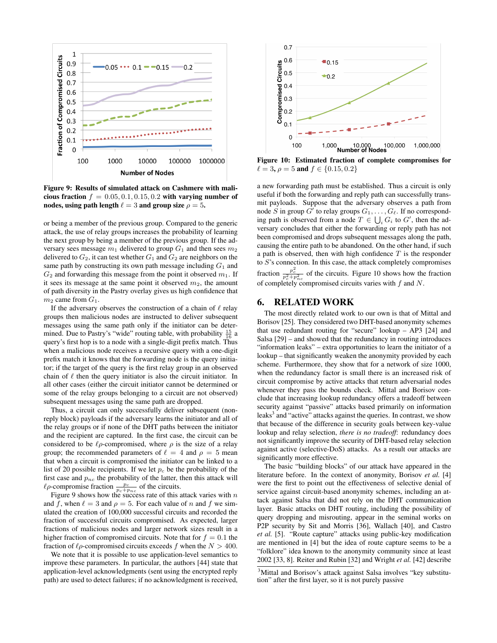

Figure 9: Results of simulated attack on Cashmere with malicious fraction  $f = 0.05, 0.1, 0.15, 0.2$  with varying number of nodes, using path length  $\ell = 3$  and group size  $\rho = 5$ .

or being a member of the previous group. Compared to the generic attack, the use of relay groups increases the probability of learning the next group by being a member of the previous group. If the adversary sees message  $m_1$  delivered to group  $G_1$  and then sees  $m_2$ delivered to  $G_2$ , it can test whether  $G_1$  and  $G_2$  are neighbors on the same path by constructing its own path message including  $G_1$  and  $G_2$  and forwarding this message from the point it observed  $m_1$ . If it sees its message at the same point it observed  $m_2$ , the amount of path diversity in the Pastry overlay gives us high confidence that  $m_2$  came from  $G_1$ .

If the adversary observes the construction of a chain of  $\ell$  relay groups then malicious nodes are instructed to deliver subsequent messages using the same path only if the initiator can be determined. Due to Pastry's "wide" routing table, with probability  $\frac{15}{16}$  a query's first hop is to a node with a single-digit prefix match. Thus when a malicious node receives a recursive query with a one-digit prefix match it knows that the forwarding node is the query initiator; if the target of the query is the first relay group in an observed chain of  $\ell$  then the query initiator is also the circuit initiator. In all other cases (either the circuit initiator cannot be determined or some of the relay groups belonging to a circuit are not observed) subsequent messages using the same path are dropped.

Thus, a circuit can only successfully deliver subsequent (nonreply block) payloads if the adversary learns the initiator and all of the relay groups or if none of the DHT paths between the initiator and the recipient are captured. In the first case, the circuit can be considered to be  $\ell \rho$ -compromised, where  $\rho$  is the size of a relay group; the recommended parameters of  $\ell = 4$  and  $\rho = 5$  mean that when a circuit is compromised the initiator can be linked to a list of 20 possible recipients. If we let  $p_c$  be the probability of the first case and  $p_{nc}$  the probability of the latter, then this attack will  $\ell \rho$ -compromise fraction  $\frac{p_c}{p_c+p_{nc}}$  of the circuits.

Figure 9 shows how the success rate of this attack varies with  $n$ and f, when  $\ell = 3$  and  $\rho = 5$ . For each value of n and f we simulated the creation of 100,000 successful circuits and recorded the fraction of successful circuits compromised. As expected, larger fractions of malicious nodes and larger network sizes result in a higher fraction of compromised circuits. Note that for  $f = 0.1$  the fraction of  $\ell \rho$ -compromised circuits exceeds f when the  $N > 400$ .

We note that it is possible to use application-level semantics to improve these parameters. In particular, the authors [44] state that application-level acknowledgments (sent using the encrypted reply path) are used to detect failures; if no acknowledgment is received,



Figure 10: Estimated fraction of complete compromises for  $\ell = 3, \rho = 5$  and  $f \in \{0.15, 0.2\}$ 

a new forwarding path must be established. Thus a circuit is only useful if both the forwarding and reply path can successfully transmit payloads. Suppose that the adversary observes a path from node S in group  $G'$  to relay groups  $G_1, \ldots, G_\ell$ . If no corresponding path is observed from a node  $T \in \bigcup_i G_i$  to  $G'$ , then the adversary concludes that either the forwarding or reply path has not been compromised and drops subsequent messages along the path, causing the entire path to be abandoned. On the other hand, if such a path is observed, then with high confidence  $T$  is the responder to S's connection. In this case, the attack completely compromises fraction  $\frac{p_c^2}{p_c^2 + p_{nc}^2}$  of the circuits. Figure 10 shows how the fraction of completely compromised circuits varies with  $f$  and  $N$ .

## 6. RELATED WORK

The most directly related work to our own is that of Mittal and Borisov [25]. They considered two DHT-based anonymity schemes that use redundant routing for "secure" lookup – AP3 [24] and Salsa [29] – and showed that the redundancy in routing introduces "information leaks" – extra opportunities to learn the initiator of a lookup – that significantly weaken the anonymity provided by each scheme. Furthermore, they show that for a network of size 1000, when the redundancy factor is small there is an increased risk of circuit compromise by active attacks that return adversarial nodes whenever they pass the bounds check. Mittal and Borisov conclude that increasing lookup redundancy offers a tradeoff between security against "passive" attacks based primarily on information leaks<sup>3</sup> and "active" attacks against the queries. In contrast, we show that because of the difference in security goals between key-value lookup and relay selection, *there is no tradeoff*: redundancy does not significantly improve the security of DHT-based relay selection against active (selective-DoS) attacks. As a result our attacks are significantly more effective.

The basic "building blocks" of our attack have appeared in the literature before. In the context of anonymity, Borisov *et al.* [4] were the first to point out the effectiveness of selective denial of service against circuit-based anonymity schemes, including an attack against Salsa that did not rely on the DHT communication layer. Basic attacks on DHT routing, including the possibility of query dropping and misrouting, appear in the seminal works on P2P security by Sit and Morris [36], Wallach [40], and Castro *et al.* [5]. "Route capture" attacks using public-key modification are mentioned in [4] but the idea of route capture seems to be a "folklore" idea known to the anonymity community since at least 2002 [33, 8]. Reiter and Rubin [32] and Wright *et al.* [42] describe

<sup>3</sup>Mittal and Borisov's attack against Salsa involves "key substitution" after the first layer, so it is not purely passive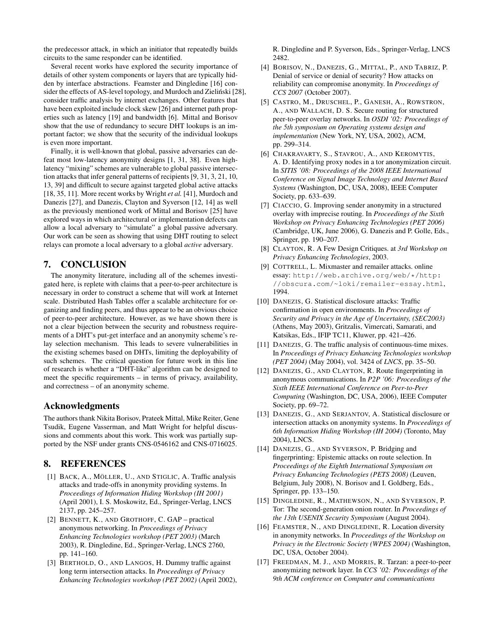the predecessor attack, in which an initiator that repeatedly builds circuits to the same responder can be identified.

Several recent works have explored the security importance of details of other system components or layers that are typically hidden by interface abstractions. Feamster and Dingledine [16] consider the effects of AS-level topology, and Murdoch and Zieliński [28], consider traffic analysis by internet exchanges. Other features that have been exploited include clock skew [26] and internet path properties such as latency [19] and bandwidth [6]. Mittal and Borisov show that the use of redundancy to secure DHT lookups is an important factor; we show that the security of the individual lookups is even more important.

Finally, it is well-known that global, passive adversaries can defeat most low-latency anonymity designs [1, 31, 38]. Even highlatency "mixing" schemes are vulnerable to global passive intersection attacks that infer general patterns of recipients [9, 31, 3, 21, 10, 13, 39] and difficult to secure against targeted global active attacks [18, 35, 11]. More recent works by Wright *et al.* [41], Murdoch and Danezis [27], and Danezis, Clayton and Syverson [12, 14] as well as the previously mentioned work of Mittal and Borisov [25] have explored ways in which architectural or implementation defects can allow a local adversary to "simulate" a global passive adversary. Our work can be seen as showing that using DHT routing to select relays can promote a local adversary to a global *active* adversary.

# 7. CONCLUSION

The anonymity literature, including all of the schemes investigated here, is replete with claims that a peer-to-peer architecture is necessary in order to construct a scheme that will work at Internet scale. Distributed Hash Tables offer a scalable architecture for organizing and finding peers, and thus appear to be an obvious choice of peer-to-peer architecture. However, as we have shown there is not a clear bijection between the security and robustness requirements of a DHT's put-get interface and an anonymity scheme's relay selection mechanism. This leads to severe vulnerabilities in the existing schemes based on DHTs, limiting the deployability of such schemes. The critical question for future work in this line of research is whether a "DHT-like" algorithm can be designed to meet the specific requirements – in terms of privacy, availability, and correctness – of an anonymity scheme.

### Acknowledgments

The authors thank Nikita Borisov, Prateek Mittal, Mike Reiter, Gene Tsudik, Eugene Vasserman, and Matt Wright for helpful discussions and comments about this work. This work was partially supported by the NSF under grants CNS-0546162 and CNS-0716025.

## 8. REFERENCES

- [1] BACK, A., MÖLLER, U., AND STIGLIC, A. Traffic analysis attacks and trade-offs in anonymity providing systems. In *Proceedings of Information Hiding Workshop (IH 2001)* (April 2001), I. S. Moskowitz, Ed., Springer-Verlag, LNCS 2137, pp. 245–257.
- [2] BENNETT, K., AND GROTHOFF, C. GAP practical anonymous networking. In *Proceedings of Privacy Enhancing Technologies workshop (PET 2003)* (March 2003), R. Dingledine, Ed., Springer-Verlag, LNCS 2760, pp. 141–160.
- [3] BERTHOLD, O., AND LANGOS, H. Dummy traffic against long term intersection attacks. In *Proceedings of Privacy Enhancing Technologies workshop (PET 2002)* (April 2002),

R. Dingledine and P. Syverson, Eds., Springer-Verlag, LNCS 2482.

- [4] BORISOV, N., DANEZIS, G., MITTAL, P., AND TABRIZ, P. Denial of service or denial of security? How attacks on reliability can compromise anonymity. In *Proceedings of CCS 2007* (October 2007).
- [5] CASTRO, M., DRUSCHEL, P., GANESH, A., ROWSTRON, A., AND WALLACH, D. S. Secure routing for structured peer-to-peer overlay networks. In *OSDI '02: Proceedings of the 5th symposium on Operating systems design and implementation* (New York, NY, USA, 2002), ACM, pp. 299–314.
- [6] CHAKRAVARTY, S., STAVROU, A., AND KEROMYTIS, A. D. Identifying proxy nodes in a tor anonymization circuit. In *SITIS '08: Proceedings of the 2008 IEEE International Conference on Signal Image Technology and Internet Based Systems* (Washington, DC, USA, 2008), IEEE Computer Society, pp. 633–639.
- [7] CIACCIO, G. Improving sender anonymity in a structured overlay with imprecise routing. In *Proceedings of the Sixth Workshop on Privacy Enhancing Technologies (PET 2006)* (Cambridge, UK, June 2006), G. Danezis and P. Golle, Eds., Springer, pp. 190–207.
- [8] CLAYTON, R. A Few Design Critiques. at *3rd Workshop on Privacy Enhancing Technologies*, 2003.
- [9] COTTRELL, L. Mixmaster and remailer attacks. online essay: http://web.archive.org/web/\*/http: //obscura.com/~loki/remailer-essay.html, 1994.
- [10] DANEZIS, G. Statistical disclosure attacks: Traffic confirmation in open environments. In *Proceedings of Security and Privacy in the Age of Uncertainty, (SEC2003)* (Athens, May 2003), Gritzalis, Vimercati, Samarati, and Katsikas, Eds., IFIP TC11, Kluwer, pp. 421–426.
- [11] DANEZIS, G. The traffic analysis of continuous-time mixes. In *Proceedings of Privacy Enhancing Technologies workshop (PET 2004)* (May 2004), vol. 3424 of *LNCS*, pp. 35–50.
- [12] DANEZIS, G., AND CLAYTON, R. Route fingerprinting in anonymous communications. In *P2P '06: Proceedings of the Sixth IEEE International Conference on Peer-to-Peer Computing* (Washington, DC, USA, 2006), IEEE Computer Society, pp. 69–72.
- [13] DANEZIS, G., AND SERJANTOV, A. Statistical disclosure or intersection attacks on anonymity systems. In *Proceedings of 6th Information Hiding Workshop (IH 2004)* (Toronto, May 2004), LNCS.
- [14] DANEZIS, G., AND SYVERSON, P. Bridging and fingerprinting: Epistemic attacks on route selection. In *Proceedings of the Eighth International Symposium on Privacy Enhancing Technologies (PETS 2008)* (Leuven, Belgium, July 2008), N. Borisov and I. Goldberg, Eds., Springer, pp. 133–150.
- [15] DINGLEDINE, R., MATHEWSON, N., AND SYVERSON, P. Tor: The second-generation onion router. In *Proceedings of the 13th USENIX Security Symposium* (August 2004).
- [16] FEAMSTER, N., AND DINGLEDINE, R. Location diversity in anonymity networks. In *Proceedings of the Workshop on Privacy in the Electronic Society (WPES 2004)* (Washington, DC, USA, October 2004).
- [17] FREEDMAN, M. J., AND MORRIS, R. Tarzan: a peer-to-peer anonymizing network layer. In *CCS '02: Proceedings of the 9th ACM conference on Computer and communications*